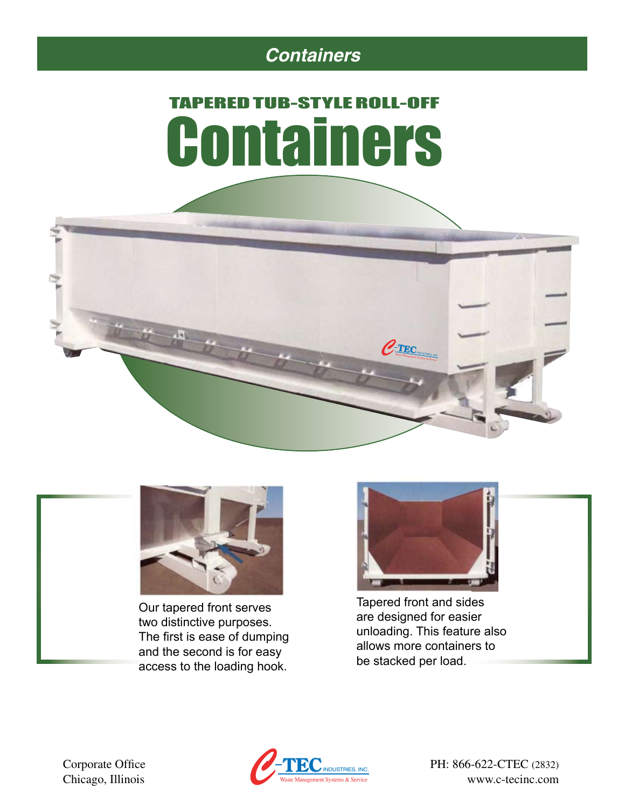### *Containers*

# TAPERED TUB-STYLE ROLL-OFF **Containers**





Our tapered front serves two distinctive purposes. The first is ease of dumping and the second is for easy access to the loading hook.



Tapered front and sides are designed for easier unloading. This feature also allows more containers to be stacked per load.



www.c-tecinc.com